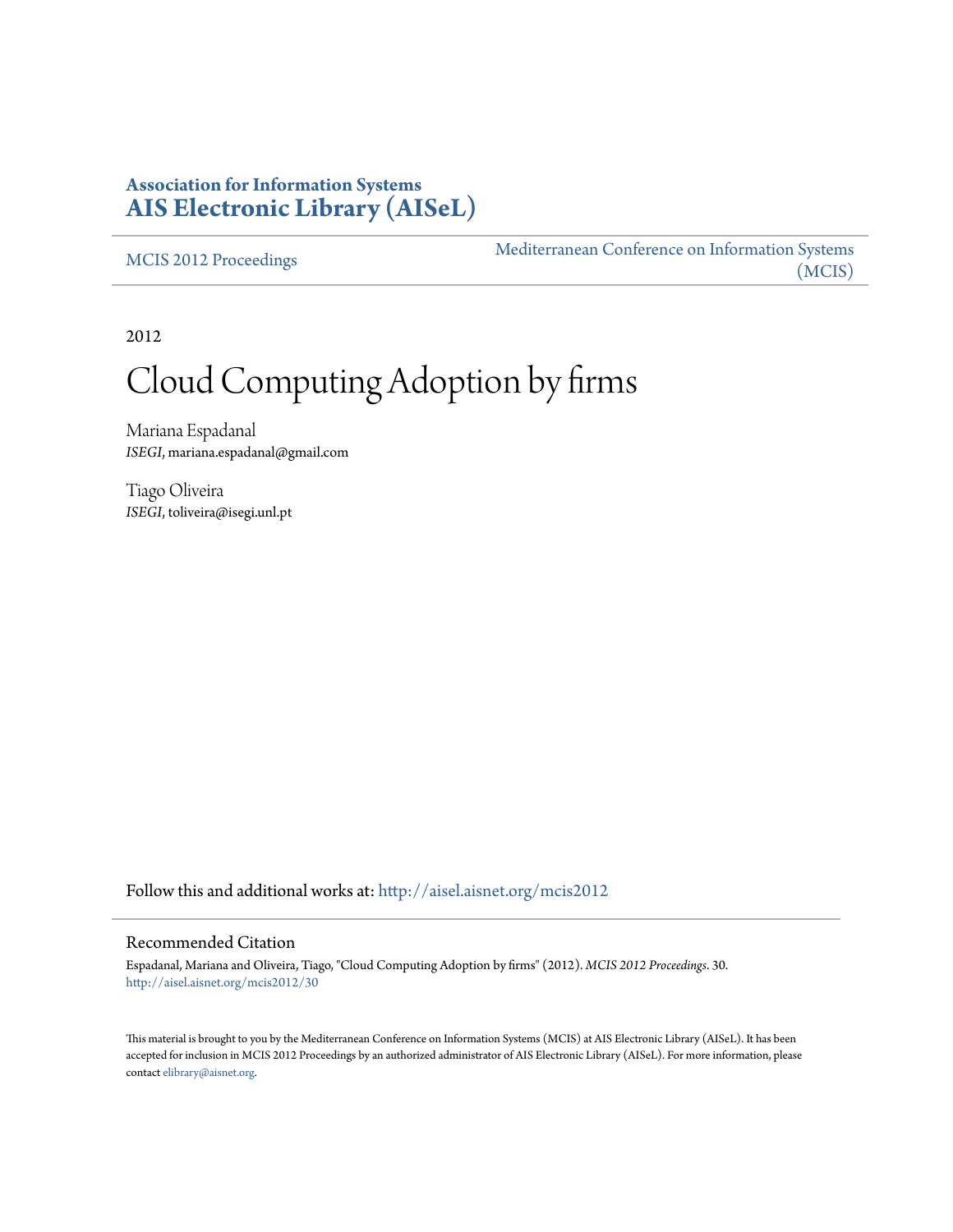# **Association for Information Systems [AIS Electronic Library \(AISeL\)](http://aisel.aisnet.org?utm_source=aisel.aisnet.org%2Fmcis2012%2F30&utm_medium=PDF&utm_campaign=PDFCoverPages)**

[MCIS 2012 Proceedings](http://aisel.aisnet.org/mcis2012?utm_source=aisel.aisnet.org%2Fmcis2012%2F30&utm_medium=PDF&utm_campaign=PDFCoverPages)

[Mediterranean Conference on Information Systems](http://aisel.aisnet.org/mcis?utm_source=aisel.aisnet.org%2Fmcis2012%2F30&utm_medium=PDF&utm_campaign=PDFCoverPages) [\(MCIS\)](http://aisel.aisnet.org/mcis?utm_source=aisel.aisnet.org%2Fmcis2012%2F30&utm_medium=PDF&utm_campaign=PDFCoverPages)

2012

# Cloud Computing Adoption by firms

Mariana Espadanal *ISEGI*, mariana.espadanal@gmail.com

Tiago Oliveira *ISEGI*, toliveira@isegi.unl.pt

Follow this and additional works at: [http://aisel.aisnet.org/mcis2012](http://aisel.aisnet.org/mcis2012?utm_source=aisel.aisnet.org%2Fmcis2012%2F30&utm_medium=PDF&utm_campaign=PDFCoverPages)

#### Recommended Citation

Espadanal, Mariana and Oliveira, Tiago, "Cloud Computing Adoption by firms" (2012). *MCIS 2012 Proceedings*. 30. [http://aisel.aisnet.org/mcis2012/30](http://aisel.aisnet.org/mcis2012/30?utm_source=aisel.aisnet.org%2Fmcis2012%2F30&utm_medium=PDF&utm_campaign=PDFCoverPages)

This material is brought to you by the Mediterranean Conference on Information Systems (MCIS) at AIS Electronic Library (AISeL). It has been accepted for inclusion in MCIS 2012 Proceedings by an authorized administrator of AIS Electronic Library (AISeL). For more information, please contact [elibrary@aisnet.org.](mailto:elibrary@aisnet.org%3E)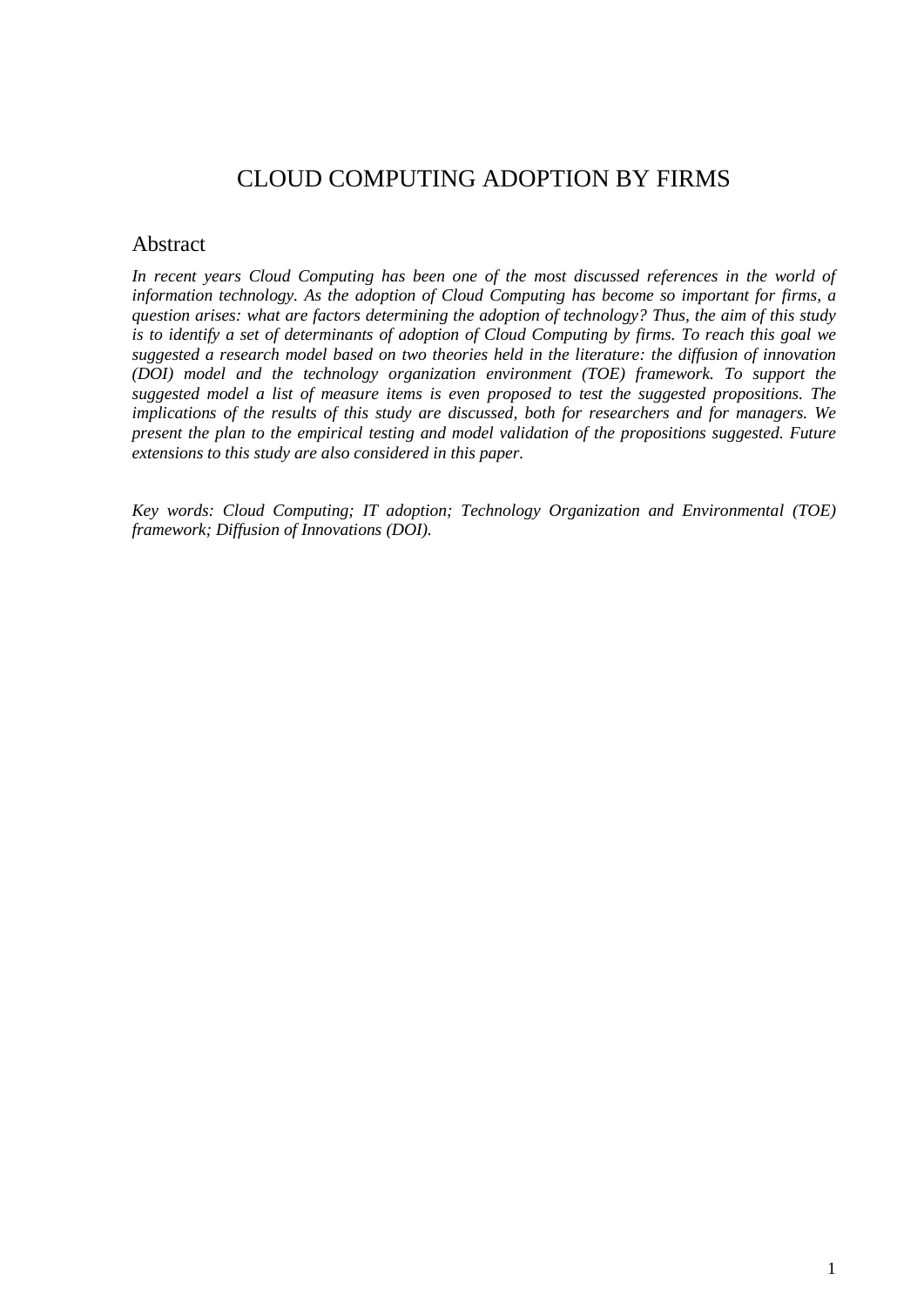# CLOUD COMPUTING ADOPTION BY FIRMS

#### Abstract

*In recent years Cloud Computing has been one of the most discussed references in the world of information technology. As the adoption of Cloud Computing has become so important for firms, a question arises: what are factors determining the adoption of technology? Thus, the aim of this study is to identify a set of determinants of adoption of Cloud Computing by firms. To reach this goal we suggested a research model based on two theories held in the literature: the diffusion of innovation (DOI) model and the technology organization environment (TOE) framework. To support the suggested model a list of measure items is even proposed to test the suggested propositions. The implications of the results of this study are discussed, both for researchers and for managers. We present the plan to the empirical testing and model validation of the propositions suggested. Future extensions to this study are also considered in this paper.*

*Key words: Cloud Computing; IT adoption; Technology Organization and Environmental (TOE) framework; Diffusion of Innovations (DOI).*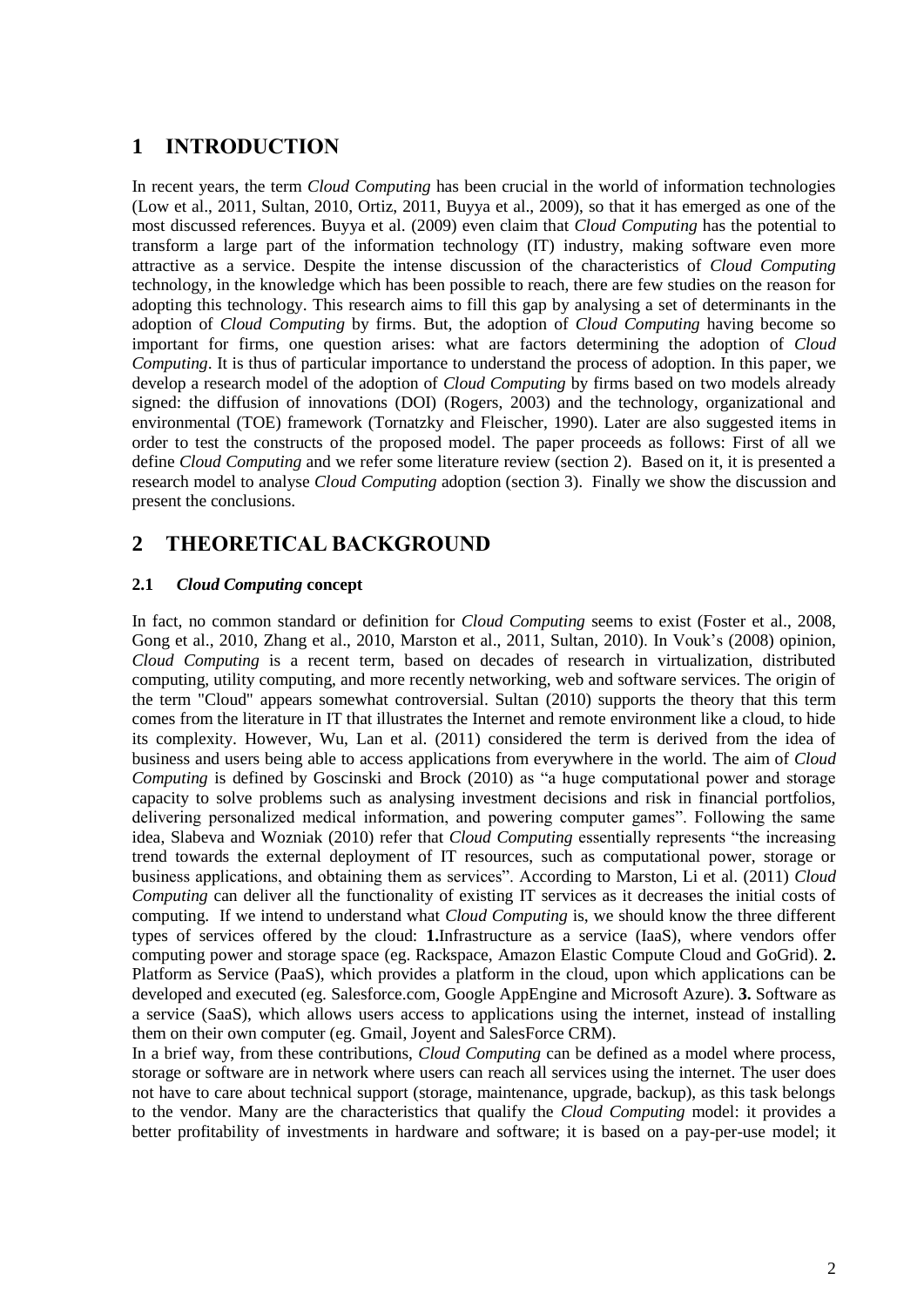# **1 INTRODUCTION**

In recent years, the term *Cloud Computing* has been crucial in the world of information technologies [\(Low et al., 2011,](#page-9-0) [Sultan, 2010,](#page-10-0) [Ortiz, 2011,](#page-10-1) [Buyya et al., 2009\)](#page-8-0), so that it has emerged as one of the most discussed references. Buyya et al. [\(2009\)](#page-8-0) even claim that *Cloud Computing* has the potential to transform a large part of the information technology (IT) industry, making software even more attractive as a service. Despite the intense discussion of the characteristics of *Cloud Computing* technology, in the knowledge which has been possible to reach, there are few studies on the reason for adopting this technology. This research aims to fill this gap by analysing a set of determinants in the adoption of *Cloud Computing* by firms. But, the adoption of *Cloud Computing* having become so important for firms, one question arises: what are factors determining the adoption of *Cloud Computing*. It is thus of particular importance to understand the process of adoption. In this paper, we develop a research model of the adoption of *Cloud Computing* by firms based on two models already signed: the diffusion of innovations (DOI) [\(Rogers, 2003\)](#page-10-2) and the technology, organizational and environmental (TOE) framework [\(Tornatzky and Fleischer, 1990\)](#page-10-3). Later are also suggested items in order to test the constructs of the proposed model. The paper proceeds as follows: First of all we define *Cloud Computing* and we refer some literature review (section 2). Based on it, it is presented a research model to analyse *Cloud Computing* adoption (section 3). Finally we show the discussion and present the conclusions.

# **2 THEORETICAL BACKGROUND**

#### **2.1** *Cloud Computing* **concept**

In fact, no common standard or definition for *Cloud Computing* seems to exist [\(Foster et al., 2008,](#page-9-1) [Gong et al., 2010,](#page-9-2) [Zhang et al., 2010,](#page-10-4) [Marston et al., 2011,](#page-9-3) [Sultan, 2010\)](#page-10-0). In Vouk's [\(2008\)](#page-10-5) opinion, *Cloud Computing* is a recent term, based on decades of research in virtualization, distributed computing, utility computing, and more recently networking, web and software services. The origin of the term "Cloud" appears somewhat controversial. Sultan [\(2010\)](#page-10-0) supports the theory that this term comes from the literature in IT that illustrates the Internet and remote environment like a cloud, to hide its complexity. However, Wu, Lan et al. [\(2011\)](#page-10-6) considered the term is derived from the idea of business and users being able to access applications from everywhere in the world. The aim of *Cloud Computing* is defined by Goscinski and Brock [\(2010\)](#page-9-4) as "a huge computational power and storage capacity to solve problems such as analysing investment decisions and risk in financial portfolios, delivering personalized medical information, and powering computer games". Following the same idea, Slabeva and Wozniak [\(2010\)](#page-10-7) refer that *Cloud Computing* essentially represents "the increasing trend towards the external deployment of IT resources, such as computational power, storage or business applications, and obtaining them as services". According to Marston, Li et al. [\(2011\)](#page-9-3) *Cloud Computing* can deliver all the functionality of existing IT services as it decreases the initial costs of computing. If we intend to understand what *Cloud Computing* is, we should know the three different types of services offered by the cloud: **1.**Infrastructure as a service (IaaS), where vendors offer computing power and storage space (eg. Rackspace, Amazon Elastic Compute Cloud and GoGrid). **2.**  Platform as Service (PaaS), which provides a platform in the cloud, upon which applications can be developed and executed (eg. Salesforce.com, Google AppEngine and Microsoft Azure). **3.** Software as a service (SaaS), which allows users access to applications using the internet, instead of installing them on their own computer (eg. Gmail, Joyent and SalesForce CRM).

In a brief way, from these contributions, *Cloud Computing* can be defined as a model where process, storage or software are in network where users can reach all services using the internet. The user does not have to care about technical support (storage, maintenance, upgrade, backup), as this task belongs to the vendor. Many are the characteristics that qualify the *Cloud Computing* model: it provides a better profitability of investments in hardware and software; it is based on a pay-per-use model; it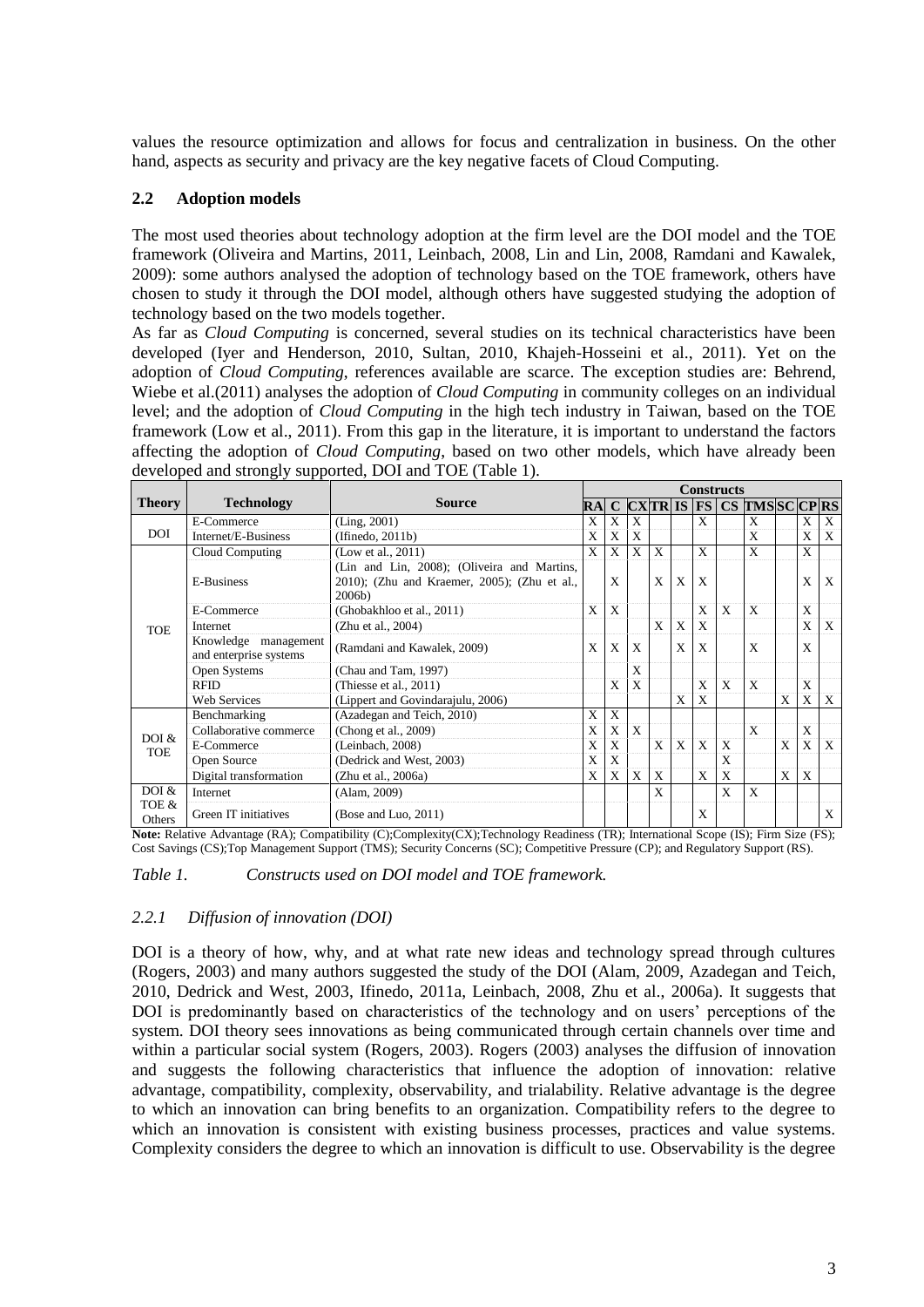values the resource optimization and allows for focus and centralization in business. On the other hand, aspects as security and privacy are the key negative facets of Cloud Computing.

#### **2.2 Adoption models**

The most used theories about technology adoption at the firm level are the DOI model and the TOE framework [\(Oliveira and Martins, 2011,](#page-10-8) [Leinbach, 2008,](#page-9-5) [Lin and Lin, 2008,](#page-9-6) [Ramdani and Kawalek,](#page-10-9)  [2009\)](#page-10-9): some authors analysed the adoption of technology based on the TOE framework, others have chosen to study it through the DOI model, although others have suggested studying the adoption of technology based on the two models together.

As far as *Cloud Computing* is concerned, several studies on its technical characteristics have been developed [\(Iyer and Henderson, 2010,](#page-9-7) [Sultan, 2010,](#page-10-0) [Khajeh-Hosseini et al., 2011\)](#page-9-8). Yet on the adoption of *Cloud Computing*, references available are scarce. The exception studies are: Behrend, Wiebe et al.[\(2011\)](#page-8-1) analyses the adoption of *Cloud Computing* in community colleges on an individual level; and the adoption of *Cloud Computing* in the high tech industry in Taiwan, based on the TOE framework [\(Low et al., 2011\)](#page-9-0). From this gap in the literature, it is important to understand the factors affecting the adoption of *Cloud Computing*, based on two other models, which have already been developed and strongly supported, DOI and TOE (Table 1).

|                     | <b>Technology</b>                              | <b>Source</b>                                                                                            | <b>Constructs</b> |   |   |              |   |              |                           |                                             |   |   |              |
|---------------------|------------------------------------------------|----------------------------------------------------------------------------------------------------------|-------------------|---|---|--------------|---|--------------|---------------------------|---------------------------------------------|---|---|--------------|
| <b>Theory</b>       |                                                |                                                                                                          | RAI               |   |   |              |   |              |                           | $C$ $C XTR$ is FS $CS$ $TMS$ $SC$ $CP$ $RS$ |   |   |              |
| <b>DOI</b>          | E-Commerce                                     | (Ling, 2001)                                                                                             | X                 | X | X |              |   | X            |                           | X                                           |   | X | X            |
|                     | Internet/E-Business                            | (If in edo, 2011b)                                                                                       | X                 | X | X |              |   |              |                           | X                                           |   | X | X            |
| <b>TOE</b>          | Cloud Computing                                | (Low et al., 2011)                                                                                       | X                 | X | X | X            |   | $\mathbf{x}$ |                           | X                                           |   | X |              |
|                     | E-Business                                     | (Lin and Lin, 2008); (Oliveira and Martins,<br>2010); (Zhu and Kraemer, 2005); (Zhu et al.,<br>$2006b$ ) |                   | X |   | X            | X | X            |                           |                                             |   | X | $\mathbf{x}$ |
|                     | E-Commerce                                     | (Ghobakhloo et al., 2011)                                                                                | X                 | X |   |              |   | X            | $\mathbf{x}$              | $\boldsymbol{\mathrm{X}}$                   |   | X |              |
|                     | Internet                                       | (Zhu et al., 2004)                                                                                       |                   |   |   | X            | X | $\mathbf{X}$ |                           |                                             |   | X | X            |
|                     | Knowledge management<br>and enterprise systems | (Ramdani and Kawalek, 2009)                                                                              | X                 | X | X |              | X | $\mathbf{X}$ |                           | X                                           |   | X |              |
|                     | Open Systems                                   | (Chau and Tam, 1997)                                                                                     |                   |   | X |              |   |              |                           |                                             |   |   |              |
|                     | <b>RFID</b>                                    | (Thiesse et al., $2011$ )                                                                                |                   | X | X |              |   | X            | X                         | $\boldsymbol{\mathrm{X}}$                   |   | X |              |
|                     | <b>Web Services</b>                            | (Lippert and Govindarajulu, 2006)                                                                        |                   |   |   |              | X | X            |                           |                                             | X | X | X            |
| DOI &<br><b>TOE</b> | Benchmarking                                   | (Azadegan and Teich, 2010)                                                                               | X                 | X |   |              |   |              |                           |                                             |   |   |              |
|                     | Collaborative commerce                         | (Chong et al., 2009)                                                                                     | X                 | X | X |              |   |              |                           | X                                           |   | X |              |
|                     | E-Commerce                                     | (Leinbach, 2008)                                                                                         | X                 | X |   | $\mathbf{x}$ | X | $\mathbf{x}$ | $\boldsymbol{\mathrm{X}}$ |                                             | X | X | $\mathbf{X}$ |
|                     | Open Source                                    | (Dedrick and West, 2003)                                                                                 | X                 | X |   |              |   |              | X                         |                                             |   |   |              |
|                     | Digital transformation                         | (Zhu et al., 2006a)                                                                                      | X                 | X | X | X            |   | X            | X                         |                                             | X | X |              |
| DOI &               | Internet                                       | (Alam, 2009)                                                                                             |                   |   |   | X            |   |              | X                         | $\mathbf{x}$                                |   |   |              |
| TOE &<br>Others     | Green IT initiatives                           | (Bose and Luo, $2011$ )                                                                                  |                   |   |   |              |   | X            |                           |                                             |   |   | X            |

**Note:** Relative Advantage (RA); Compatibility (C);Complexity(CX);Technology Readiness (TR); International Scope (IS); Firm Size (FS); Cost Savings (CS);Top Management Support (TMS); Security Concerns (SC); Competitive Pressure (CP); and Regulatory Support (RS).

*Table 1. Constructs used on DOI model and TOE framework.*

#### *2.2.1 Diffusion of innovation (DOI)*

DOI is a theory of how, why, and at what rate new ideas and technology spread through cultures [\(Rogers, 2003\)](#page-10-2) and many authors suggested the study of the DOI [\(Alam, 2009,](#page-8-3) [Azadegan and Teich,](#page-8-2)  [2010,](#page-8-2) [Dedrick and West, 2003,](#page-9-16) [Ifinedo, 2011a,](#page-9-17) [Leinbach, 2008,](#page-9-5) [Zhu et al., 2006a\)](#page-10-14). It suggests that DOI is predominantly based on characteristics of the technology and on users' perceptions of the system. DOI theory sees innovations as being communicated through certain channels over time and within a particular social system [\(Rogers, 2003\)](#page-10-2). Rogers [\(2003\)](#page-10-2) analyses the diffusion of innovation and suggests the following characteristics that influence the adoption of innovation: relative advantage, compatibility, complexity, observability, and trialability. Relative advantage is the degree to which an innovation can bring benefits to an organization. Compatibility refers to the degree to which an innovation is consistent with existing business processes, practices and value systems. Complexity considers the degree to which an innovation is difficult to use. Observability is the degree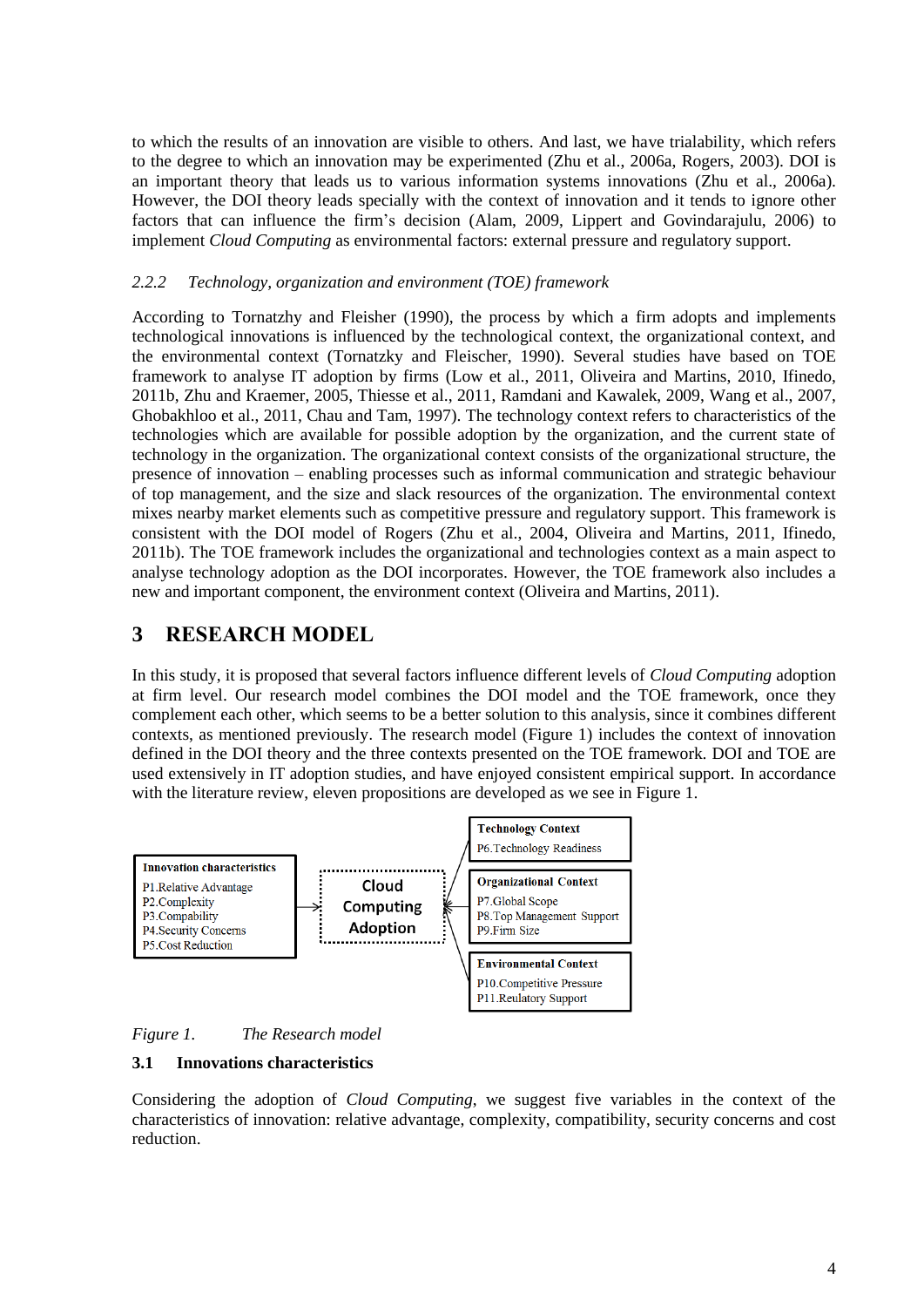to which the results of an innovation are visible to others. And last, we have trialability, which refers to the degree to which an innovation may be experimented [\(Zhu et al., 2006a,](#page-10-14) [Rogers, 2003\)](#page-10-2). DOI is an important theory that leads us to various information systems innovations [\(Zhu et al., 2006a\)](#page-10-14). However, the DOI theory leads specially with the context of innovation and it tends to ignore other factors that can influence the firm's decision [\(Alam, 2009,](#page-8-3) [Lippert and Govindarajulu, 2006\)](#page-9-14) to implement *Cloud Computing* as environmental factors: external pressure and regulatory support.

#### *2.2.2 Technology, organization and environment (TOE) framework*

According to Tornatzhy and Fleisher [\(1990\)](#page-10-3), the process by which a firm adopts and implements technological innovations is influenced by the technological context, the organizational context, and the environmental context [\(Tornatzky and Fleischer, 1990\)](#page-10-3). Several studies have based on TOE framework to analyse IT adoption by firms [\(Low et al., 2011,](#page-9-0) [Oliveira and Martins, 2010,](#page-9-11) [Ifinedo,](#page-9-10)  [2011b,](#page-9-10) [Zhu and Kraemer, 2005,](#page-10-10) [Thiesse et al., 2011,](#page-10-13) [Ramdani and Kawalek, 2009,](#page-10-9) [Wang et al., 2007,](#page-10-15) [Ghobakhloo et al., 2011,](#page-9-12) [Chau and Tam, 1997\)](#page-9-13). The technology context refers to characteristics of the technologies which are available for possible adoption by the organization, and the current state of technology in the organization. The organizational context consists of the organizational structure, the presence of innovation – enabling processes such as informal communication and strategic behaviour of top management, and the size and slack resources of the organization. The environmental context mixes nearby market elements such as competitive pressure and regulatory support. This framework is consistent with the DOI model of Rogers [\(Zhu et al., 2004,](#page-10-12) [Oliveira and Martins, 2011,](#page-10-8) [Ifinedo,](#page-9-10)  [2011b\)](#page-9-10). The TOE framework includes the organizational and technologies context as a main aspect to analyse technology adoption as the DOI incorporates. However, the TOE framework also includes a new and important component, the environment context [\(Oliveira and Martins, 2011\)](#page-10-8).

## **3 RESEARCH MODEL**

In this study, it is proposed that several factors influence different levels of *Cloud Computing* adoption at firm level. Our research model combines the DOI model and the TOE framework, once they complement each other, which seems to be a better solution to this analysis, since it combines different contexts, as mentioned previously. The research model (Figure 1) includes the context of innovation defined in the DOI theory and the three contexts presented on the TOE framework. DOI and TOE are used extensively in IT adoption studies, and have enjoyed consistent empirical support. In accordance with the literature review, eleven propositions are developed as we see in Figure 1.



*Figure 1. The Research model*

#### **3.1 Innovations characteristics**

Considering the adoption of *Cloud Computing*, we suggest five variables in the context of the characteristics of innovation: relative advantage, complexity, compatibility, security concerns and cost reduction.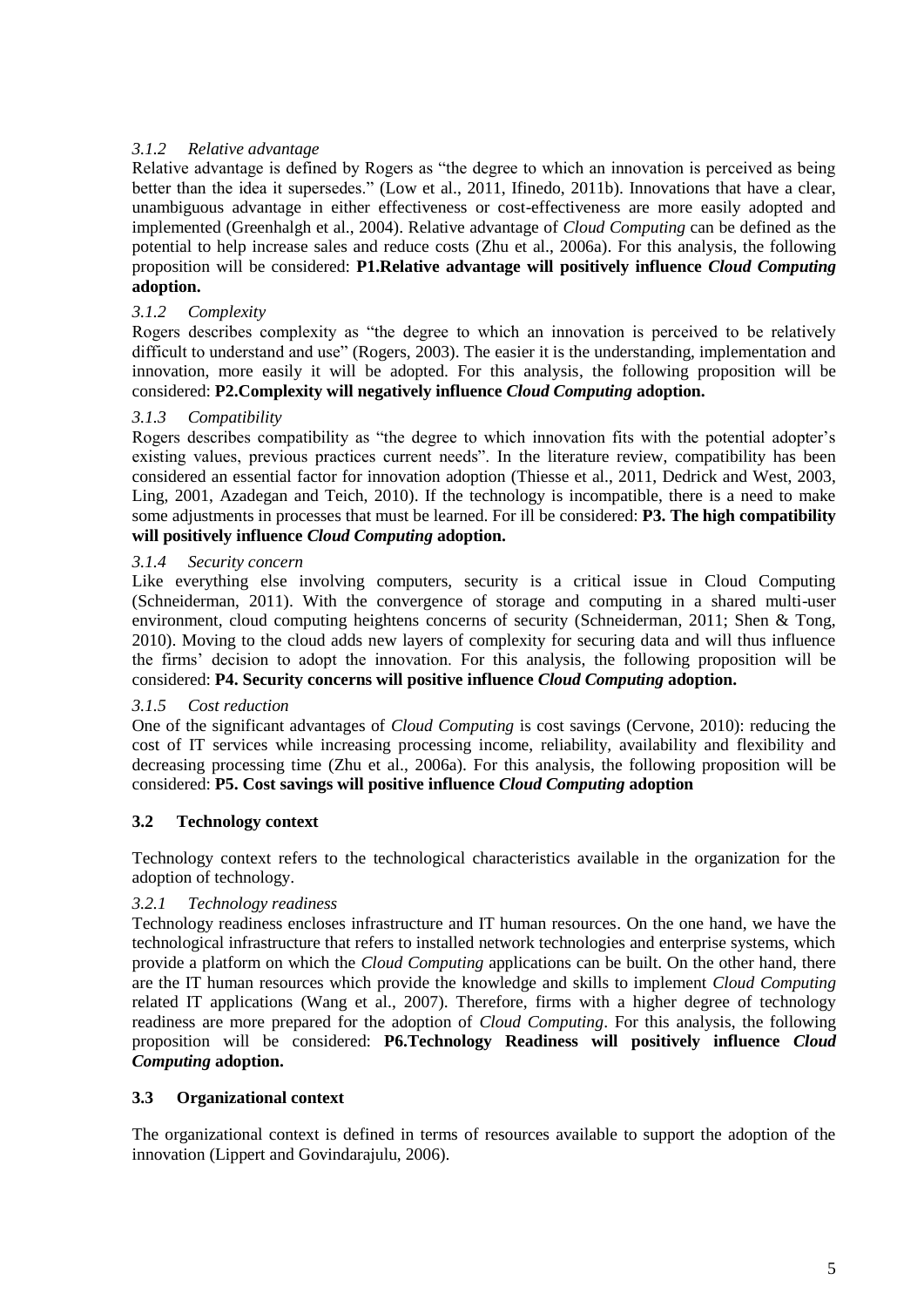#### *3.1.2 Relative advantage*

Relative advantage is defined by Rogers as "the degree to which an innovation is perceived as being better than the idea it supersedes." [\(Low et al., 2011,](#page-9-0) [Ifinedo, 2011b\)](#page-9-10). Innovations that have a clear, unambiguous advantage in either effectiveness or cost-effectiveness are more easily adopted and implemented [\(Greenhalgh et al., 2004\)](#page-9-18). Relative advantage of *Cloud Computing* can be defined as the potential to help increase sales and reduce costs [\(Zhu et al., 2006a\)](#page-10-14). For this analysis, the following proposition will be considered: **P1.Relative advantage will positively influence** *Cloud Computing* **adoption.**

#### *3.1.2 Complexity*

Rogers describes complexity as "the degree to which an innovation is perceived to be relatively difficult to understand and use" [\(Rogers, 2003\)](#page-10-2). The easier it is the understanding, implementation and innovation, more easily it will be adopted. For this analysis, the following proposition will be considered: **P2.Complexity will negatively influence** *Cloud Computing* **adoption.**

#### *3.1.3 Compatibility*

Rogers describes compatibility as "the degree to which innovation fits with the potential adopter's existing values, previous practices current needs". In the literature review, compatibility has been considered an essential factor for innovation adoption [\(Thiesse et al., 2011,](#page-10-13) [Dedrick and West, 2003,](#page-9-16) [Ling, 2001,](#page-9-9) [Azadegan and Teich, 2010\)](#page-8-2). If the technology is incompatible, there is a need to make some adjustments in processes that must be learned. For ill be considered: **P3. The high compatibility will positively influence** *Cloud Computing* **adoption.**

#### *3.1.4 Security concern*

Like everything else involving computers, security is a critical issue in Cloud Computing [\(Schneiderman, 2011\)](#page-10-16). With the convergence of storage and computing in a shared multi-user environment, cloud computing heightens concerns of security (Schneiderman, 2011; Shen & Tong, 2010). Moving to the cloud adds new layers of complexity for securing data and will thus influence the firms' decision to adopt the innovation. For this analysis, the following proposition will be considered: **P4. Security concerns will positive influence** *Cloud Computing* **adoption.**

#### *3.1.5 Cost reduction*

One of the significant advantages of *Cloud Computing* is cost savings [\(Cervone, 2010\)](#page-8-5): reducing the cost of IT services while increasing processing income, reliability, availability and flexibility and decreasing processing time [\(Zhu et al., 2006a\)](#page-10-14). For this analysis, the following proposition will be considered: **P5. Cost savings will positive influence** *Cloud Computing* **adoption**

#### **3.2 Technology context**

Technology context refers to the technological characteristics available in the organization for the adoption of technology.

#### *3.2.1 Technology readiness*

Technology readiness encloses infrastructure and IT human resources. On the one hand, we have the technological infrastructure that refers to installed network technologies and enterprise systems, which provide a platform on which the *Cloud Computing* applications can be built. On the other hand, there are the IT human resources which provide the knowledge and skills to implement *Cloud Computing* related IT applications [\(Wang et al., 2007\)](#page-10-15). Therefore, firms with a higher degree of technology readiness are more prepared for the adoption of *Cloud Computing*. For this analysis, the following proposition will be considered: **P6.Technology Readiness will positively influence** *Cloud Computing* **adoption.**

#### **3.3 Organizational context**

The organizational context is defined in terms of resources available to support the adoption of the innovation [\(Lippert and Govindarajulu, 2006\)](#page-9-14).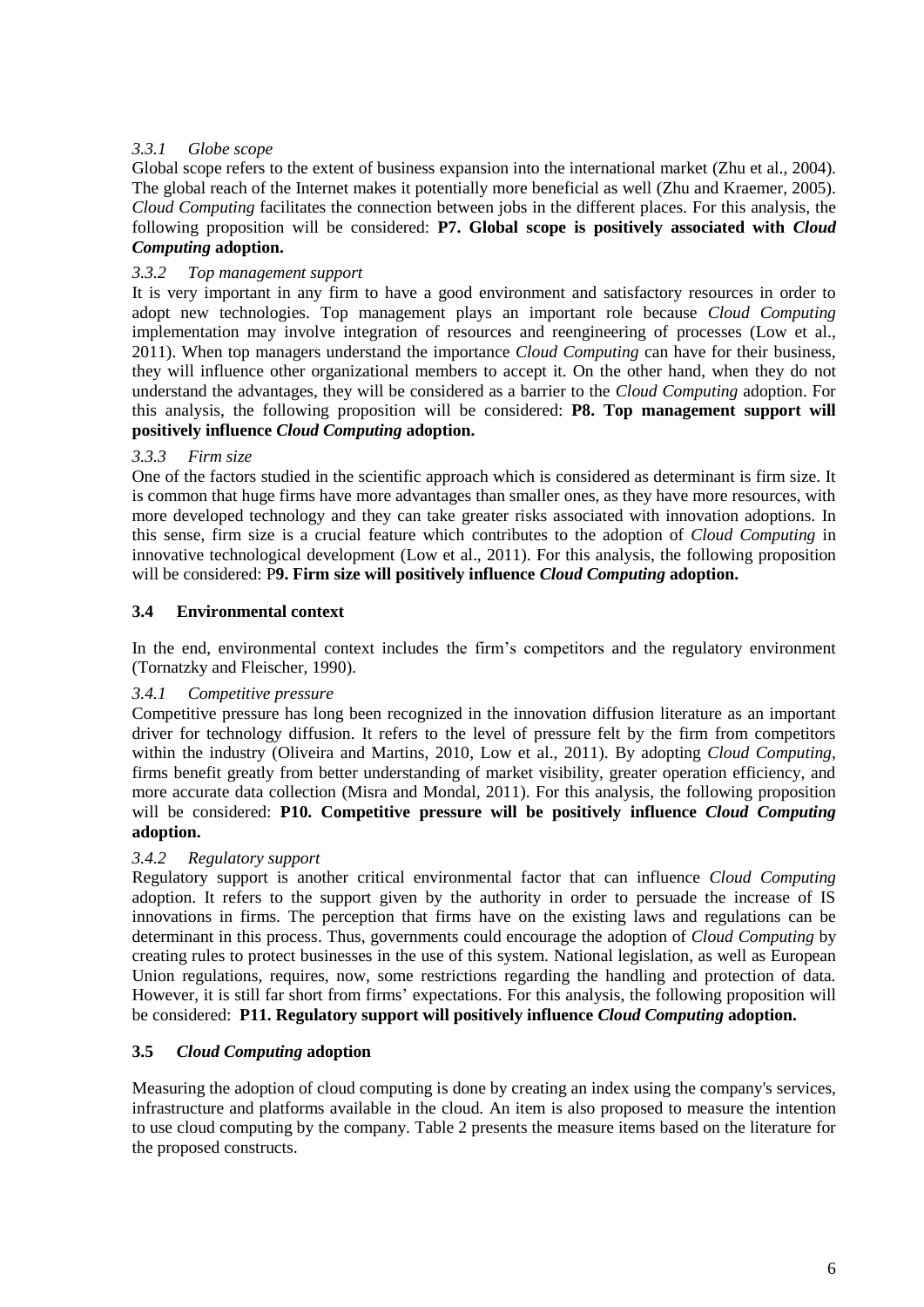#### *3.3.1 Globe scope*

Global scope refers to the extent of business expansion into the international market [\(Zhu et al., 2004\)](#page-10-12). The global reach of the Internet makes it potentially more beneficial as well [\(Zhu and Kraemer, 2005\)](#page-10-10). *Cloud Computing* facilitates the connection between jobs in the different places. For this analysis, the following proposition will be considered: **P7. Global scope is positively associated with** *Cloud Computing* **adoption.**

#### *3.3.2 Top management support*

It is very important in any firm to have a good environment and satisfactory resources in order to adopt new technologies. Top management plays an important role because *Cloud Computing* implementation may involve integration of resources and reengineering of processes [\(Low et al.,](#page-9-0)  [2011\)](#page-9-0). When top managers understand the importance *Cloud Computing* can have for their business, they will influence other organizational members to accept it. On the other hand, when they do not understand the advantages, they will be considered as a barrier to the *Cloud Computing* adoption. For this analysis, the following proposition will be considered: **P8. Top management support will positively influence** *Cloud Computing* **adoption.**

#### *3.3.3 Firm size*

One of the factors studied in the scientific approach which is considered as determinant is firm size. It is common that huge firms have more advantages than smaller ones, as they have more resources, with more developed technology and they can take greater risks associated with innovation adoptions. In this sense, firm size is a crucial feature which contributes to the adoption of *Cloud Computing* in innovative technological development [\(Low et al., 2011\)](#page-9-0). For this analysis, the following proposition will be considered: P**9. Firm size will positively influence** *Cloud Computing* **adoption.**

#### **3.4 Environmental context**

In the end, environmental context includes the firm's competitors and the regulatory environment [\(Tornatzky and Fleischer, 1990\)](#page-10-3).

#### *3.4.1 Competitive pressure*

Competitive pressure has long been recognized in the innovation diffusion literature as an important driver for technology diffusion. It refers to the level of pressure felt by the firm from competitors within the industry [\(Oliveira and Martins, 2010,](#page-9-11) [Low et al., 2011\)](#page-9-0). By adopting *Cloud Computing*, firms benefit greatly from better understanding of market visibility, greater operation efficiency, and more accurate data collection [\(Misra and Mondal, 2011\)](#page-9-19). For this analysis, the following proposition will be considered: **P10. Competitive pressure will be positively influence** *Cloud Computing* **adoption.**

#### *3.4.2 Regulatory support*

Regulatory support is another critical environmental factor that can influence *Cloud Computing* adoption. It refers to the support given by the authority in order to persuade the increase of IS innovations in firms. The perception that firms have on the existing laws and regulations can be determinant in this process. Thus, governments could encourage the adoption of *Cloud Computing* by creating rules to protect businesses in the use of this system. National legislation, as well as European Union regulations, requires, now, some restrictions regarding the handling and protection of data. However, it is still far short from firms' expectations. For this analysis, the following proposition will be considered: **P11. Regulatory support will positively influence** *Cloud Computing* **adoption.**

#### **3.5** *Cloud Computing* **adoption**

Measuring the adoption of cloud computing is done by creating an index using the company's services, infrastructure and platforms available in the cloud. An item is also proposed to measure the intention to use cloud computing by the company. Table 2 presents the measure items based on the literature for the proposed constructs.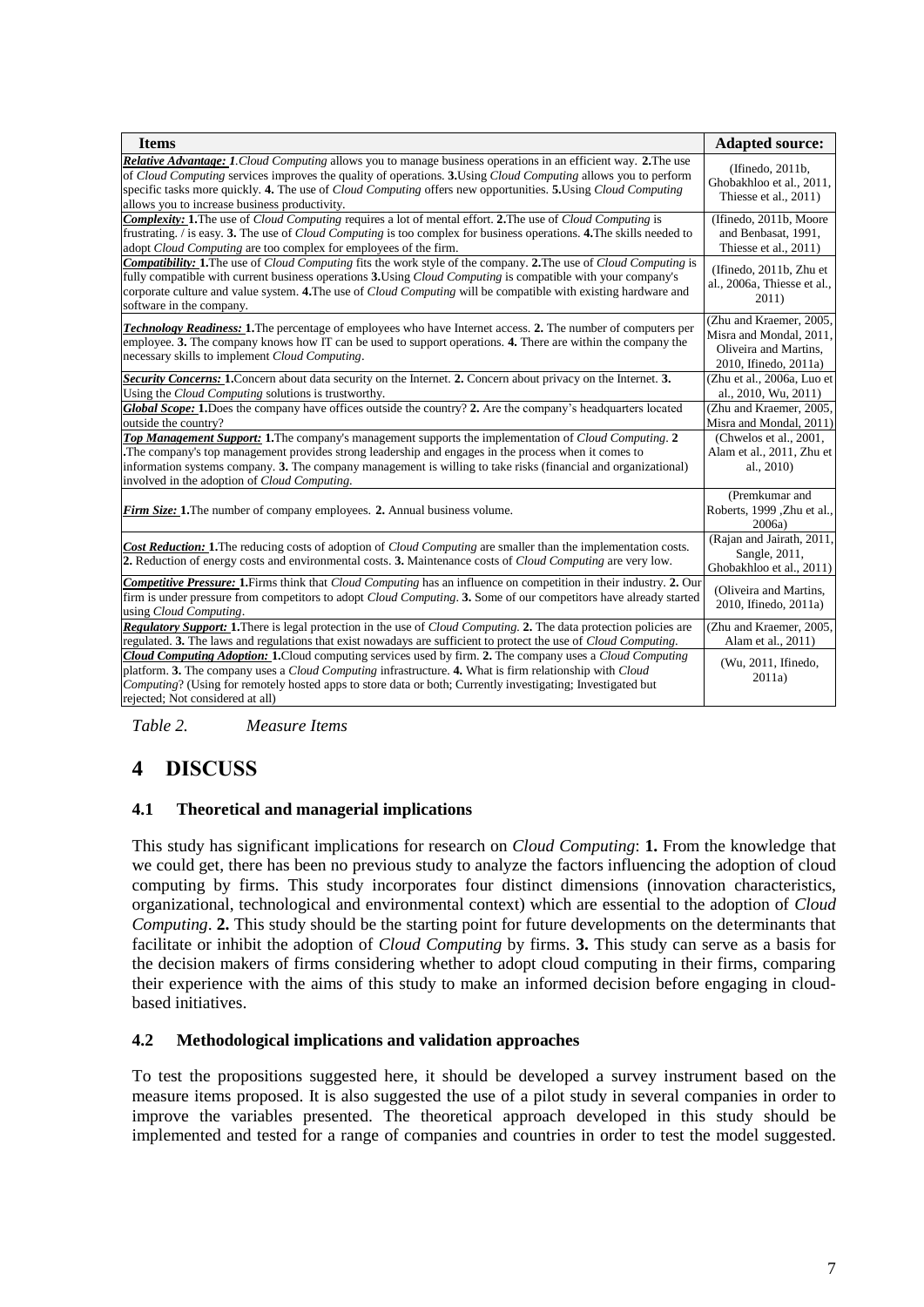| <b>Items</b>                                                                                                                                                                                                                                                                                                                                                                                          | <b>Adapted source:</b>                                                                               |  |  |  |
|-------------------------------------------------------------------------------------------------------------------------------------------------------------------------------------------------------------------------------------------------------------------------------------------------------------------------------------------------------------------------------------------------------|------------------------------------------------------------------------------------------------------|--|--|--|
| Relative Advantage: 1. Cloud Computing allows you to manage business operations in an efficient way. 2. The use<br>of Cloud Computing services improves the quality of operations. 3. Using Cloud Computing allows you to perform<br>specific tasks more quickly. 4. The use of Cloud Computing offers new opportunities. 5. Using Cloud Computing<br>allows you to increase business productivity.   | (Ifinedo, 2011b,<br>Ghobakhloo et al., 2011,<br>Thiesse et al., 2011)                                |  |  |  |
| <b>Complexity: 1.</b> The use of Cloud Computing requires a lot of mental effort. 2. The use of Cloud Computing is<br>frustrating. / is easy. 3. The use of <i>Cloud Computing</i> is too complex for business operations. 4. The skills needed to<br>adopt Cloud Computing are too complex for employees of the firm.                                                                                | (Ifinedo, 2011b, Moore<br>and Benbasat, 1991,<br>Thiesse et al., 2011)                               |  |  |  |
| <b>Compatibility:</b> 1. The use of Cloud Computing fits the work style of the company. 2. The use of Cloud Computing is<br>fully compatible with current business operations 3. Using <i>Cloud Computing</i> is compatible with your company's<br>corporate culture and value system. 4. The use of <i>Cloud Computing</i> will be compatible with existing hardware and<br>software in the company. | (Ifinedo, 2011b, Zhu et<br>al., 2006a, Thiesse et al.,<br>2011)                                      |  |  |  |
| <b>Technology Readiness: 1.</b> The percentage of employees who have Internet access. 2. The number of computers per<br>employee. 3. The company knows how IT can be used to support operations. 4. There are within the company the<br>necessary skills to implement Cloud Computing.                                                                                                                | (Zhu and Kraemer, 2005,<br>Misra and Mondal, 2011,<br>Oliveira and Martins,<br>2010, Ifinedo, 2011a) |  |  |  |
| Security Concerns: 1. Concern about data security on the Internet. 2. Concern about privacy on the Internet. 3.<br>Using the <i>Cloud Computing</i> solutions is trustworthy.                                                                                                                                                                                                                         | (Zhu et al., 2006a, Luo et<br>al., 2010, Wu, 2011)                                                   |  |  |  |
| Global Scope: 1. Does the company have offices outside the country? 2. Are the company's headquarters located<br>outside the country?                                                                                                                                                                                                                                                                 | (Zhu and Kraemer, 2005,<br>Misra and Mondal, 2011)                                                   |  |  |  |
| Top Management Support: 1. The company's management supports the implementation of Cloud Computing. 2<br>The company's top management provides strong leadership and engages in the process when it comes to<br>information systems company. 3. The company management is willing to take risks (financial and organizational)<br>involved in the adoption of Cloud Computing.                        | (Chwelos et al., 2001,<br>Alam et al., 2011, Zhu et<br>al., 2010)                                    |  |  |  |
| <b>Firm Size:</b> 1. The number of company employees. 2. Annual business volume.                                                                                                                                                                                                                                                                                                                      | (Premkumar and<br>Roberts, 1999, Zhu et al.,<br>2006a)                                               |  |  |  |
| Cost Reduction: 1. The reducing costs of adoption of Cloud Computing are smaller than the implementation costs.<br>2. Reduction of energy costs and environmental costs. 3. Maintenance costs of Cloud Computing are very low.                                                                                                                                                                        | (Rajan and Jairath, 2011,<br>Sangle, 2011,<br>Ghobakhloo et al., 2011)                               |  |  |  |
| Competitive Pressure: 1. Firms think that Cloud Computing has an influence on competition in their industry. 2. Our<br>firm is under pressure from competitors to adopt <i>Cloud Computing</i> . 3. Some of our competitors have already started<br>using Cloud Computing.                                                                                                                            | (Oliveira and Martins,<br>2010, Ifinedo, 2011a)                                                      |  |  |  |
| <b>Regulatory Support: 1.</b> There is legal protection in the use of <i>Cloud Computing</i> . 2. The data protection policies are<br>regulated. 3. The laws and regulations that exist nowadays are sufficient to protect the use of <i>Cloud Computing</i> .                                                                                                                                        | (Zhu and Kraemer, 2005,<br>Alam et al., 2011)                                                        |  |  |  |
| Cloud Computing Adoption: 1. Cloud computing services used by firm. 2. The company uses a Cloud Computing<br>platform. 3. The company uses a Cloud Computing infrastructure. 4. What is firm relationship with Cloud<br>Computing? (Using for remotely hosted apps to store data or both; Currently investigating; Investigated but<br>rejected; Not considered at all)                               | (Wu, 2011, Ifinedo,<br>2011a)                                                                        |  |  |  |

*Table 2. Measure Items*

# **4 DISCUSS**

#### **4.1 Theoretical and managerial implications**

This study has significant implications for research on *Cloud Computing*: **1.** From the knowledge that we could get, there has been no previous study to analyze the factors influencing the adoption of cloud computing by firms. This study incorporates four distinct dimensions (innovation characteristics, organizational, technological and environmental context) which are essential to the adoption of *Cloud Computing*. **2.** This study should be the starting point for future developments on the determinants that facilitate or inhibit the adoption of *Cloud Computing* by firms. **3.** This study can serve as a basis for the decision makers of firms considering whether to adopt cloud computing in their firms, comparing their experience with the aims of this study to make an informed decision before engaging in cloudbased initiatives.

#### **4.2 Methodological implications and validation approaches**

To test the propositions suggested here, it should be developed a survey instrument based on the measure items proposed. It is also suggested the use of a pilot study in several companies in order to improve the variables presented. The theoretical approach developed in this study should be implemented and tested for a range of companies and countries in order to test the model suggested.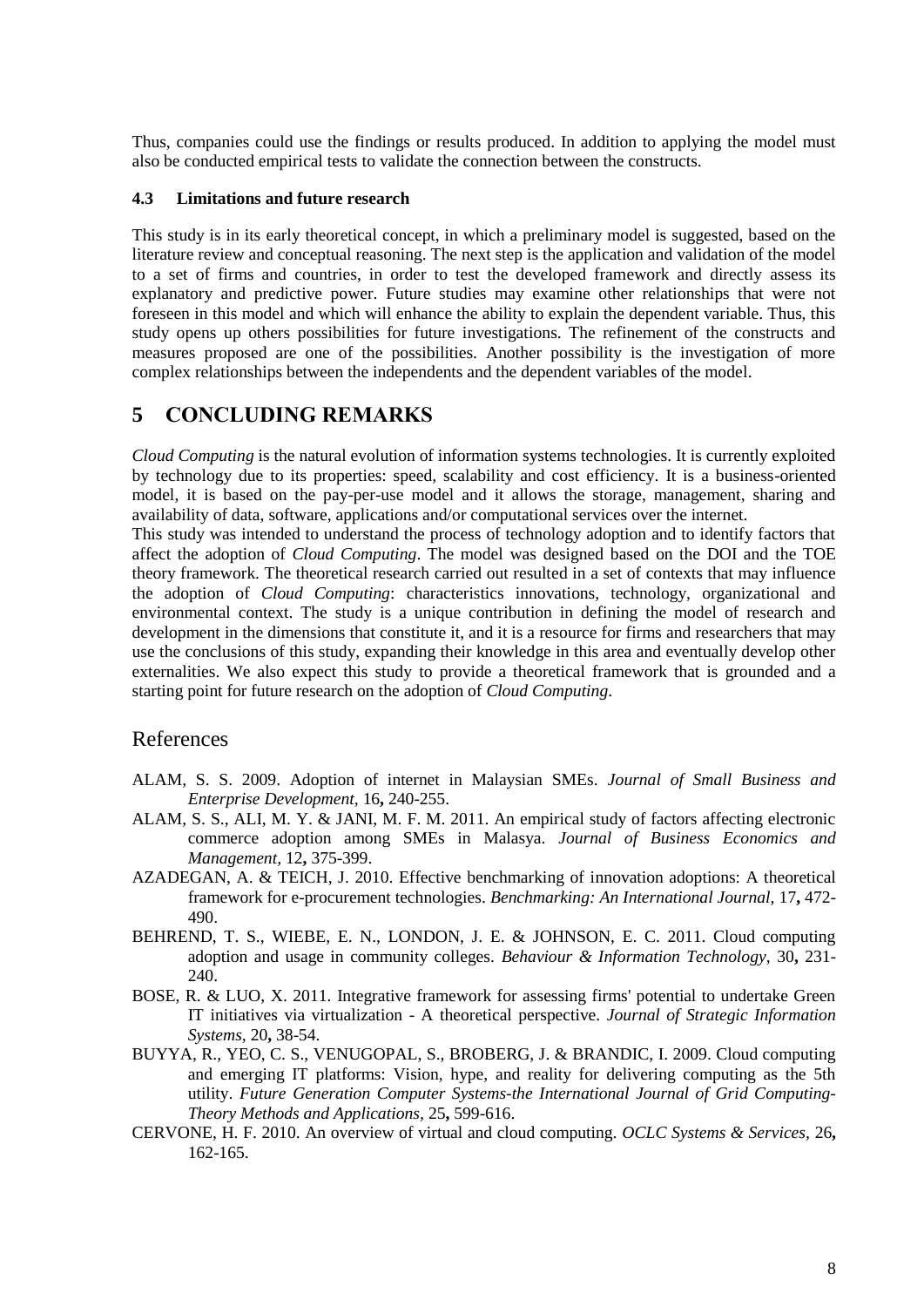Thus, companies could use the findings or results produced. In addition to applying the model must also be conducted empirical tests to validate the connection between the constructs.

#### **4.3 Limitations and future research**

This study is in its early theoretical concept, in which a preliminary model is suggested, based on the literature review and conceptual reasoning. The next step is the application and validation of the model to a set of firms and countries, in order to test the developed framework and directly assess its explanatory and predictive power. Future studies may examine other relationships that were not foreseen in this model and which will enhance the ability to explain the dependent variable. Thus, this study opens up others possibilities for future investigations. The refinement of the constructs and measures proposed are one of the possibilities. Another possibility is the investigation of more complex relationships between the independents and the dependent variables of the model.

# **5 CONCLUDING REMARKS**

*Cloud Computing* is the natural evolution of information systems technologies. It is currently exploited by technology due to its properties: speed, scalability and cost efficiency. It is a business-oriented model, it is based on the pay-per-use model and it allows the storage, management, sharing and availability of data, software, applications and/or computational services over the internet.

This study was intended to understand the process of technology adoption and to identify factors that affect the adoption of *Cloud Computing*. The model was designed based on the DOI and the TOE theory framework. The theoretical research carried out resulted in a set of contexts that may influence the adoption of *Cloud Computing*: characteristics innovations, technology, organizational and environmental context. The study is a unique contribution in defining the model of research and development in the dimensions that constitute it, and it is a resource for firms and researchers that may use the conclusions of this study, expanding their knowledge in this area and eventually develop other externalities. We also expect this study to provide a theoretical framework that is grounded and a starting point for future research on the adoption of *Cloud Computing*.

### References

- <span id="page-8-3"></span>ALAM, S. S. 2009. Adoption of internet in Malaysian SMEs. *Journal of Small Business and Enterprise Development,* 16**,** 240-255.
- <span id="page-8-6"></span>ALAM, S. S., ALI, M. Y. & JANI, M. F. M. 2011. An empirical study of factors affecting electronic commerce adoption among SMEs in Malasya. *Journal of Business Economics and Management,* 12**,** 375-399.
- <span id="page-8-2"></span>AZADEGAN, A. & TEICH, J. 2010. Effective benchmarking of innovation adoptions: A theoretical framework for e-procurement technologies. *Benchmarking: An International Journal,* 17**,** 472- 490.
- <span id="page-8-1"></span>BEHREND, T. S., WIEBE, E. N., LONDON, J. E. & JOHNSON, E. C. 2011. Cloud computing adoption and usage in community colleges. *Behaviour & Information Technology,* 30**,** 231- 240.
- <span id="page-8-4"></span>BOSE, R. & LUO, X. 2011. Integrative framework for assessing firms' potential to undertake Green IT initiatives via virtualization - A theoretical perspective. *Journal of Strategic Information Systems,* 20**,** 38-54.
- <span id="page-8-0"></span>BUYYA, R., YEO, C. S., VENUGOPAL, S., BROBERG, J. & BRANDIC, I. 2009. Cloud computing and emerging IT platforms: Vision, hype, and reality for delivering computing as the 5th utility. *Future Generation Computer Systems-the International Journal of Grid Computing-Theory Methods and Applications,* 25**,** 599-616.
- <span id="page-8-5"></span>CERVONE, H. F. 2010. An overview of virtual and cloud computing. *OCLC Systems & Services,* 26**,** 162-165.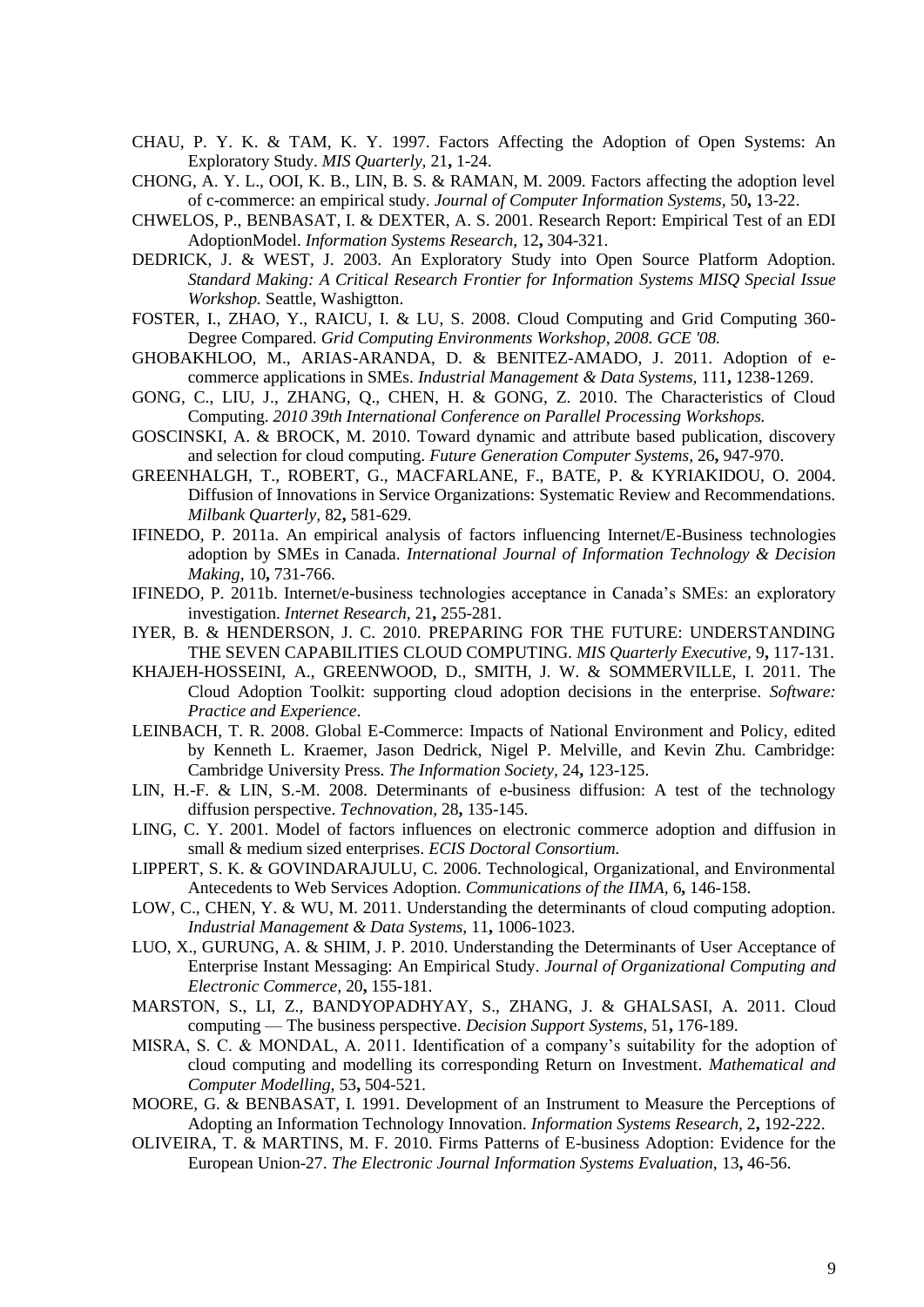- <span id="page-9-13"></span>CHAU, P. Y. K. & TAM, K. Y. 1997. Factors Affecting the Adoption of Open Systems: An Exploratory Study. *MIS Quarterly,* 21**,** 1-24.
- <span id="page-9-15"></span>CHONG, A. Y. L., OOI, K. B., LIN, B. S. & RAMAN, M. 2009. Factors affecting the adoption level of c-commerce: an empirical study. *Journal of Computer Information Systems,* 50**,** 13-22.
- <span id="page-9-22"></span>CHWELOS, P., BENBASAT, I. & DEXTER, A. S. 2001. Research Report: Empirical Test of an EDI AdoptionModel. *Information Systems Research,* 12**,** 304-321.
- <span id="page-9-16"></span>DEDRICK, J. & WEST, J. 2003. An Exploratory Study into Open Source Platform Adoption. *Standard Making: A Critical Research Frontier for Information Systems MISQ Special Issue Workshop.* Seattle, Washigtton.
- <span id="page-9-1"></span>FOSTER, I., ZHAO, Y., RAICU, I. & LU, S. 2008. Cloud Computing and Grid Computing 360- Degree Compared. *Grid Computing Environments Workshop, 2008. GCE '08.*
- <span id="page-9-12"></span>GHOBAKHLOO, M., ARIAS-ARANDA, D. & BENITEZ-AMADO, J. 2011. Adoption of ecommerce applications in SMEs. *Industrial Management & Data Systems,* 111**,** 1238-1269.
- <span id="page-9-2"></span>GONG, C., LIU, J., ZHANG, Q., CHEN, H. & GONG, Z. 2010. The Characteristics of Cloud Computing. *2010 39th International Conference on Parallel Processing Workshops.*
- <span id="page-9-4"></span>GOSCINSKI, A. & BROCK, M. 2010. Toward dynamic and attribute based publication, discovery and selection for cloud computing. *Future Generation Computer Systems,* 26**,** 947-970.
- <span id="page-9-18"></span>GREENHALGH, T., ROBERT, G., MACFARLANE, F., BATE, P. & KYRIAKIDOU, O. 2004. Diffusion of Innovations in Service Organizations: Systematic Review and Recommendations. *Milbank Quarterly,* 82**,** 581-629.
- <span id="page-9-17"></span>IFINEDO, P. 2011a. An empirical analysis of factors influencing Internet/E-Business technologies adoption by SMEs in Canada. *International Journal of Information Technology & Decision Making,* 10**,** 731-766.
- <span id="page-9-10"></span>IFINEDO, P. 2011b. Internet/e-business technologies acceptance in Canada's SMEs: an exploratory investigation. *Internet Research,* 21**,** 255-281.
- <span id="page-9-7"></span>IYER, B. & HENDERSON, J. C. 2010. PREPARING FOR THE FUTURE: UNDERSTANDING THE SEVEN CAPABILITIES CLOUD COMPUTING. *MIS Quarterly Executive,* 9**,** 117-131.
- <span id="page-9-8"></span>KHAJEH-HOSSEINI, A., GREENWOOD, D., SMITH, J. W. & SOMMERVILLE, I. 2011. The Cloud Adoption Toolkit: supporting cloud adoption decisions in the enterprise. *Software: Practice and Experience*.
- <span id="page-9-5"></span>LEINBACH, T. R. 2008. Global E-Commerce: Impacts of National Environment and Policy, edited by Kenneth L. Kraemer, Jason Dedrick, Nigel P. Melville, and Kevin Zhu. Cambridge: Cambridge University Press. *The Information Society,* 24**,** 123-125.
- <span id="page-9-6"></span>LIN, H.-F. & LIN, S.-M. 2008. Determinants of e-business diffusion: A test of the technology diffusion perspective. *Technovation,* 28**,** 135-145.
- <span id="page-9-9"></span>LING, C. Y. 2001. Model of factors influences on electronic commerce adoption and diffusion in small & medium sized enterprises. *ECIS Doctoral Consortium.*
- <span id="page-9-14"></span>LIPPERT, S. K. & GOVINDARAJULU, C. 2006. Technological, Organizational, and Environmental Antecedents to Web Services Adoption. *Communications of the IIMA,* 6**,** 146-158.
- <span id="page-9-0"></span>LOW, C., CHEN, Y. & WU, M. 2011. Understanding the determinants of cloud computing adoption. *Industrial Management & Data Systems,* 11**,** 1006-1023.
- <span id="page-9-21"></span>LUO, X., GURUNG, A. & SHIM, J. P. 2010. Understanding the Determinants of User Acceptance of Enterprise Instant Messaging: An Empirical Study. *Journal of Organizational Computing and Electronic Commerce,* 20**,** 155-181.
- <span id="page-9-3"></span>MARSTON, S., LI, Z., BANDYOPADHYAY, S., ZHANG, J. & GHALSASI, A. 2011. Cloud computing — The business perspective. *Decision Support Systems,* 51**,** 176-189.
- <span id="page-9-19"></span>MISRA, S. C. & MONDAL, A. 2011. Identification of a company's suitability for the adoption of cloud computing and modelling its corresponding Return on Investment. *Mathematical and Computer Modelling,* 53**,** 504-521.
- <span id="page-9-20"></span>MOORE, G. & BENBASAT, I. 1991. Development of an Instrument to Measure the Perceptions of Adopting an Information Technology Innovation. *Information Systems Research,* 2**,** 192-222.
- <span id="page-9-11"></span>OLIVEIRA, T. & MARTINS, M. F. 2010. Firms Patterns of E-business Adoption: Evidence for the European Union-27. *The Electronic Journal Information Systems Evaluation,* 13**,** 46-56.